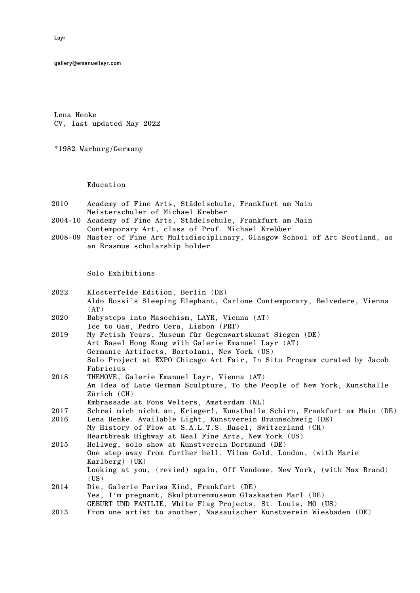gallery@emanuellayr.com

Lena Henke CV, last updated May 2022

\*1982 Warburg/Germany

Education

- 2010 Academy of Fine Arts, Städelschule, Frankfurt am Main Meisterschüler of Michael Krebber
- 2004-10 Academy of Fine Arts, Städelschule, Frankfurt am Main Contemporary Art, class of Prof. Michael Krebber
- 2008-09 Master of Fine Art Multidisciplinary, Glasgow School of Art Scotland, as an Erasmus scholarship holder

Solo Exhibitions

- 2022 Klosterfelde Edition, Berlin (DE) Aldo Rossi's Sleeping Elephant, Carlone Contemporary, Belvedere, Vienna  $(AT)$
- 2020 Babysteps into Masochism, LAYR, Vienna (AT) Ice to Gas, Pedro Cera, Lisbon (PRT)
- 2019 My Fetish Years, Museum für Gegenwartskunst Siegen (DE) Art Basel Hong Kong with Galerie Emanuel Layr (AT) Germanic Artifacts, Bortolami, New York (US) Solo Project at EXPO Chicago Art Fair, In Situ Program curated by Jacob Fabricius
- 2018 THEMOVE, Galerie Emanuel Layr, Vienna (AT) An Idea of Late German Sculpture, To the People of New York, Kunsthalle Zürich (CH)
- Embrassade at Fons Welters, Amsterdam (NL)
- 2017 Schrei mich nicht an, Krieger!, Kunsthalle Schirn, Frankfurt am Main (DE)
- 2016 Lena Henke. Available Light, Kunstverein Braunschweig (DE) My History of Flow at S.A.L.T.S. Basel, Switzerland (CH) Heartbreak Highway at Real Fine Arts, New York (US)
- 2015 Hellweg, solo show at Kunstverein Dortmund (DE) One step away from further hell, Vilma Gold, London, (with Marie Karlberg) (UK) Looking at you, (revied) again, Off Vendome, New York, (with Max Brand)  $(US)$
- 2014 Die, Galerie Parisa Kind, Frankfurt (DE) Yes, I'm pregnant, Skulpturenmuseum Glaskasten Marl (DE) GEBURT UND FAMILIE, White Flag Projects, St. Louis, MO (US)
- 2013 From one artist to another, Nassauischer Kunstverein Wiesbaden (DE)

Layr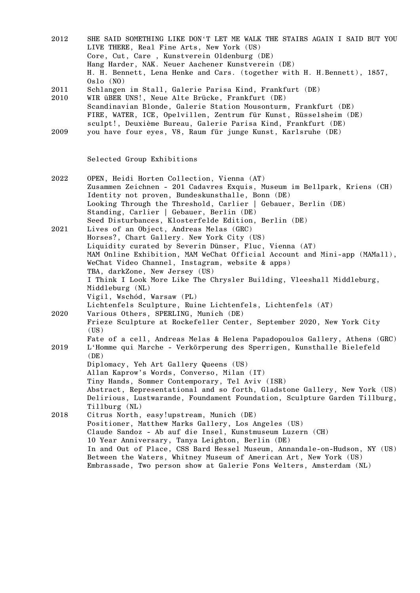| 2012 | SHE SAID SOMETHING LIKE DON'T LET ME WALK THE STAIRS AGAIN I SAID BUT YOU |
|------|---------------------------------------------------------------------------|
|      | LIVE THERE, Real Fine Arts, New York (US)                                 |
|      | Core, Cut, Care, Kunstverein Oldenburg (DE)                               |
|      | Hang Harder, NAK. Neuer Aachener Kunstverein (DE)                         |
|      | H. H. Bennett, Lena Henke and Cars. (together with H. H.Bennett), 1857,   |
|      | 0s1o(N0)                                                                  |
| 2011 | Schlangen im Stall, Galerie Parisa Kind, Frankfurt (DE)                   |
| 2010 | WIR üBER UNS!, Neue Alte Brücke, Frankfurt (DE)                           |
|      | Scandinavian Blonde, Galerie Station Mousonturm, Frankfurt (DE)           |
|      |                                                                           |

FIRE, WATER, ICE, Opelvillen, Zentrum für Kunst, Rüsselsheim (DE) sculpt!, Deuxième Bureau, Galerie Parisa Kind, Frankfurt (DE) 2009 you have four eyes, V8, Raum für junge Kunst, Karlsruhe (DE)

Selected Group Exhibitions

| 2022 | OPEN, Heidi Horten Collection, Vienna (AT)                                |
|------|---------------------------------------------------------------------------|
|      | Zusammen Zeichnen - 201 Cadavres Exquis, Museum im Bellpark, Kriens (CH)  |
|      | Identity not proven, Bundeskunsthalle, Bonn (DE)                          |
|      | Looking Through the Threshold, Carlier   Gebauer, Berlin (DE)             |
|      | Standing, Carlier   Gebauer, Berlin (DE)                                  |
|      | Seed Disturbances, Klosterfelde Edition, Berlin (DE)                      |
| 2021 | Lives of an Object, Andreas Melas (GRC)                                   |
|      | Horses?, Chart Gallery. New York City (US)                                |
|      | Liquidity curated by Severin Dünser, Fluc, Vienna (AT)                    |
|      | MAM Online Exhibition, MAM WeChat Official Account and Mini-app (MAMall), |
|      | WeChat Video Channel, Instagram, website & apps)                          |
|      | TBA, darkZone, New Jersey (US)                                            |
|      | I Think I Look More Like The Chrysler Building, Vleeshall Middleburg,     |
|      | Middleburg (NL)                                                           |
|      | Vigil, Wschód, Warsaw (PL)                                                |
|      | Lichtenfels Sculpture, Ruine Lichtenfels, Lichtenfels (AT)                |
| 2020 | Various Others, SPERLING, Munich (DE)                                     |
|      | Frieze Sculpture at Rockefeller Center, September 2020, New York City     |
|      | (US)                                                                      |
|      | Fate of a cell, Andreas Melas & Helena Papadopoulos Gallery, Athens (GRC) |
| 2019 | L'Homme qui Marche - Verkörperung des Sperrigen, Kunsthalle Bielefeld     |
|      | (DE)                                                                      |
|      | Diplomacy, Yeh Art Gallery Queens (US)                                    |
|      | Allan Kaprow's Words, Converso, Milan (IT)                                |
|      | Tiny Hands, Sommer Contemporary, Tel Aviv (ISR)                           |
|      | Abstract, Representational and so forth, Gladstone Gallery, New York (US) |
|      | Delirious, Lustwarande, Foundament Foundation, Sculpture Garden Tillburg, |
|      | Tillburg (NL)                                                             |
| 2018 | Citrus North, easy!upstream, Munich (DE)                                  |
|      | Positioner, Matthew Marks Gallery, Los Angeles (US)                       |
|      | Claude Sandoz - Ab auf die Insel, Kunstmuseum Luzern (CH)                 |
|      | 10 Year Anniversary, Tanya Leighton, Berlin (DE)                          |
|      | In and Out of Place, CSS Bard Hessel Museum, Annandale-on-Hudson, NY (US) |
|      | Between the Waters, Whitney Museum of American Art, New York (US)         |
|      | Embrassade, Two person show at Galerie Fons Welters, Amsterdam (NL)       |
|      |                                                                           |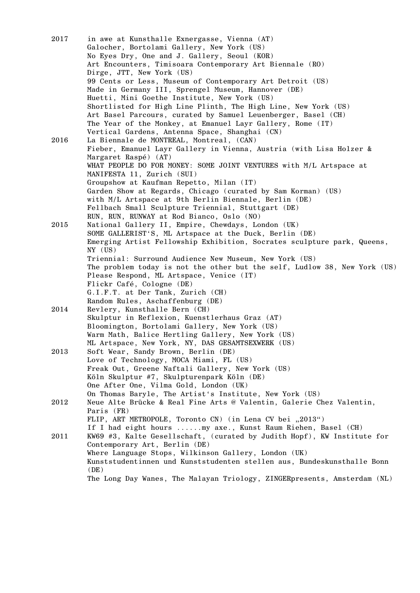| 2017       | in awe at Kunsthalle Exnergasse, Vienna (AT)<br>Galocher, Bortolami Gallery, New York (US)<br>No Eyes Dry, One and J. Gallery, Seoul (KOR) |
|------------|--------------------------------------------------------------------------------------------------------------------------------------------|
|            | Art Encounters, Timisoara Contemporary Art Biennale (RO)                                                                                   |
|            | Dirge, JTT, New York (US)                                                                                                                  |
|            | 99 Cents or Less, Museum of Contemporary Art Detroit (US)                                                                                  |
|            | Made in Germany III, Sprengel Museum, Hannover (DE)                                                                                        |
|            | Huetti, Mini Goethe Institute, New York (US)                                                                                               |
|            | Shortlisted for High Line Plinth, The High Line, New York (US)                                                                             |
|            | Art Basel Parcours, curated by Samuel Leuenberger, Basel (CH)                                                                              |
|            | The Year of the Monkey, at Emanuel Layr Gallery, Rome (IT)                                                                                 |
|            | Vertical Gardens, Antenna Space, Shanghai (CN)                                                                                             |
| 2016       | La Biennale de MONTREAL, Montreal, (CAN)                                                                                                   |
|            | Fieber, Emanuel Layr Gallery in Vienna, Austria (with Lisa Holzer &                                                                        |
|            | Margaret Raspé) (AT)                                                                                                                       |
|            | WHAT PEOPLE DO FOR MONEY: SOME JOINT VENTURES with M/L Artspace at                                                                         |
|            | MANIFESTA 11, Zurich (SUI)                                                                                                                 |
|            | Groupshow at Kaufman Repetto, Milan (IT)                                                                                                   |
|            | Garden Show at Regards, Chicago (curated by Sam Korman) (US)                                                                               |
|            | with M/L Artspace at 9th Berlin Biennale, Berlin (DE)                                                                                      |
|            | Fellbach Small Sculpture Triennial, Stuttgart (DE)                                                                                         |
|            | RUN, RUN, RUNWAY at Rod Bianco, Oslo (NO)                                                                                                  |
| 2015       | National Gallery II, Empire, Chewdays, London (UK)                                                                                         |
|            | SOME GALLERIST'S, ML Artspace at the Duck, Berlin (DE)                                                                                     |
|            | Emerging Artist Fellowship Exhibition, Socrates sculpture park, Queens,<br>$NY$ (US)                                                       |
|            | Triennial: Surround Audience New Museum, New York (US)                                                                                     |
|            | The problem today is not the other but the self, Ludlow 38, New York (US)                                                                  |
|            | Please Respond, ML Artspace, Venice (IT)                                                                                                   |
|            | Flickr Café, Cologne (DE)                                                                                                                  |
|            | G.I.F.T. at Der Tank, Zurich (CH)                                                                                                          |
|            | Random Rules, Aschaffenburg (DE)                                                                                                           |
| 2014       | Revlery, Kunsthalle Bern (CH)                                                                                                              |
|            | Skulptur in Reflexion, Kuenstlerhaus Graz (AT)                                                                                             |
|            | Bloomington, Bortolami Gallery, New York (US)                                                                                              |
|            | Warm Math, Balice Hertling Gallery, New York (US)                                                                                          |
|            | ML Artspace, New York, NY, DAS GESAMTSEXWERK (US)                                                                                          |
| 2013       | Soft Wear, Sandy Brown, Berlin (DE)                                                                                                        |
|            | Love of Technology, MOCA Miami, FL (US)                                                                                                    |
|            | Freak Out, Greene Naftali Gallery, New York (US)                                                                                           |
|            | Köln Skulptur #7, Skulpturenpark Köln (DE)                                                                                                 |
|            | One After One, Vilma Gold, London (UK)                                                                                                     |
|            | On Thomas Baryle, The Artist's Institute, New York (US)                                                                                    |
| 2012       | Neue Alte Brücke & Real Fine Arts @ Valentin, Galerie Chez Valentin,                                                                       |
|            | Paris (FR)                                                                                                                                 |
|            | FLIP, ART METROPOLE, Toronto CN) (in Lena CV bei "2013")                                                                                   |
|            | If I had eight hours my axe., Kunst Raum Riehen, Basel (CH)                                                                                |
| $\bf 2011$ | KW69 #3, Kalte Gesellschaft, (curated by Judith Hopf), KW Institute for                                                                    |
|            | Contemporary Art, Berlin (DE)                                                                                                              |
|            | Where Language Stops, Wilkinson Gallery, London (UK)                                                                                       |
|            | Kunststudentinnen und Kunststudenten stellen aus, Bundeskunsthalle Bonn<br>(DE)                                                            |
|            | The Long Day Wanes, The Malayan Triology, ZINGERpresents, Amsterdam (NL)                                                                   |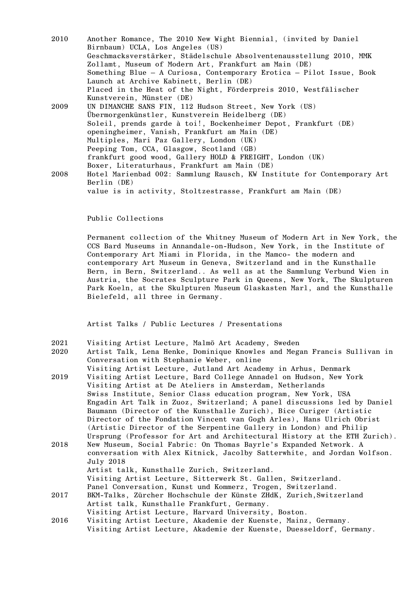| 2010 | Another Romance, The 2010 New Wight Biennial, (invited by Daniel        |
|------|-------------------------------------------------------------------------|
|      | Birnbaum) UCLA, Los Angeles (US)                                        |
|      | Geschmacksverstärker, Städelschule Absolventenausstellung 2010, MMK     |
|      | Zollamt, Museum of Modern Art, Frankfurt am Main (DE)                   |
|      | Something Blue - A Curiosa, Contemporary Erotica - Pilot Issue, Book    |
|      | Launch at Archive Kabinett, Berlin (DE)                                 |
|      | Placed in the Heat of the Night, Förderpreis 2010, Westfälischer        |
|      | Kunstverein, Münster (DE)                                               |
| 2009 | UN DIMANCHE SANS FIN, 112 Hudson Street, New York (US)                  |
|      | Übermorgenkünstler, Kunstverein Heidelberg (DE)                         |
|      | Soleil, prends garde à toi!, Bockenheimer Depot, Frankfurt (DE)         |
|      | openingheimer, Vanish, Frankfurt am Main (DE)                           |
|      | Multiples, Mari Paz Gallery, London (UK)                                |
|      | Peeping Tom, CCA, Glasgow, Scotland (GB)                                |
|      | frankfurt good wood, Gallery HOLD & FREIGHT, London (UK)                |
|      | Boxer, Literaturhaus, Frankfurt am Main (DE)                            |
| 2008 | Hotel Marienbad 002: Sammlung Rausch, KW Institute for Contemporary Art |
|      | Berlin (DE)                                                             |
|      | value is in activity, Stoltzestrasse, Frankfurt am Main (DE)            |

Public Collections

Permanent collection of the Whitney Museum of Modern Art in New York, the CCS Bard Museums in Annandale-on-Hudson, New York, in the Institute of Contemporary Art Miami in Florida, in the Mamco- the modern and contemporary Art Museum in Geneva, Switzerland and in the Kunsthalle Bern, in Bern, Switzerland.. As well as at the Sammlung Verbund Wien in Austria, the Socrates Sculpture Park in Queens, New York, The Skulpturen Park Koeln, at the Skulpturen Museum Glaskasten Marl, and the Kunsthalle Bielefeld, all three in Germany.

Artist Talks / Public Lectures / Presentations

2021 Visiting Artist Lecture, Malmö Art Academy, Sweden

- 2020 Artist Talk, Lena Henke, Dominique Knowles and Megan Francis Sullivan in Conversation with Stephanie Weber, online
- Visiting Artist Lecture, Jutland Art Academy in Arhus, Denmark 2019 Visiting Artist Lecture, Bard College Annadel on Hudson, New York Visiting Artist at De Ateliers in Amsterdam, Netherlands Swiss Institute, Senior Class education program, New York, USA Engadin Art Talk in Zuoz, Switzerland; A panel discussions led by Daniel Baumann (Director of the Kunsthalle Zurich), Bice Curiger (Artistic Director of the Fondation Vincent van Gogh Arles), Hans Ulrich Obrist (Artistic Director of the Serpentine Gallery in London) and Philip Ursprung (Professor for Art and Architectural History at the ETH Zurich). 2018 New Museum, Social Fabric: On Thomas Bayrle's Expanded Network. A conversation with Alex Kitnick, Jacolby Satterwhite, and Jordan Wolfson. July 2018 Artist talk, Kunsthalle Zurich, Switzerland. Visiting Artist Lecture, Sitterwerk St. Gallen, Switzerland. Panel Conversation, Kunst und Kommerz, Trogen, Switzerland. 2017 BKM-Talks, Zürcher Hochschule der Künste ZHdK, Zurich,Switzerland Artist talk, Kunsthalle Frankfurt, Germany. Visiting Artist Lecture, Harvard University, Boston. 2016 Visiting Artist Lecture, Akademie der Kuenste, Mainz, Germany.
- Visiting Artist Lecture, Akademie der Kuenste, Duesseldorf, Germany.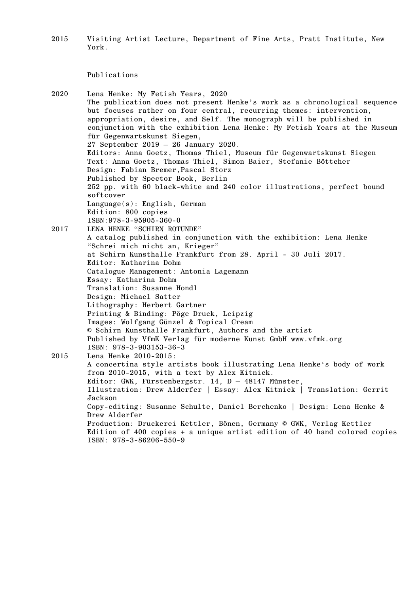2015 Visiting Artist Lecture, Department of Fine Arts, Pratt Institute, New York.

## Publications

2020 Lena Henke: My Fetish Years, 2020 The publication does not present Henke's work as a chronological sequence but focuses rather on four central, recurring themes: intervention, appropriation, desire, and Self. The monograph will be published in conjunction with the exhibition Lena Henke: My Fetish Years at the Museum für Gegenwartskunst Siegen, 27 September 2019 – 26 January 2020. Editors: Anna Goetz, Thomas Thiel, Museum für Gegenwartskunst Siegen Text: Anna Goetz, Thomas Thiel, Simon Baier, Stefanie Böttcher Design: Fabian Bremer,Pascal Storz Published by Spector Book, Berlin 252 pp. with 60 black-white and 240 color illustrations, perfect bound softcover Language(s): English, German Edition: 800 copies ISBN:978-3-95905-360-0 2017 LENA HENKE "SCHIRN ROTUNDE" A catalog published in conjunction with the exhibition: Lena Henke "Schrei mich nicht an, Krieger" at Schirn Kunsthalle Frankfurt from 28. April - 30 Juli 2017. Editor: Katharina Dohm Catalogue Management: Antonia Lagemann Essay: Katharina Dohm Translation: Susanne Hondl Design: Michael Satter Lithography: Herbert Gartner Printing & Binding: Pöge Druck, Leipzig Images: Wolfgang Günzel & Topical Cream © Schirn Kunsthalle Frankfurt, Authors and the artist Published by VfmK Verlag für moderne Kunst GmbH www.vfmk.org ISBN: 978-3-903153-36-3 2015 Lena Henke 2010-2015: A concertina style artists book illustrating Lena Henke's body of work from 2010-2015, with a text by Alex Kitnick. Editor: GWK, Fürstenbergstr. 14, D – 48147 Münster, Illustration: Drew Alderfer | Essay: Alex Kitnick | Translation: Gerrit Jackson Copy-editing: Susanne Schulte, Daniel Berchenko | Design: Lena Henke & Drew Alderfer Production: Druckerei Kettler, Bönen, Germany © GWK, Verlag Kettler Edition of 400 copies + a unique artist edition of 40 hand colored copies ISBN: 978-3-86206-550-9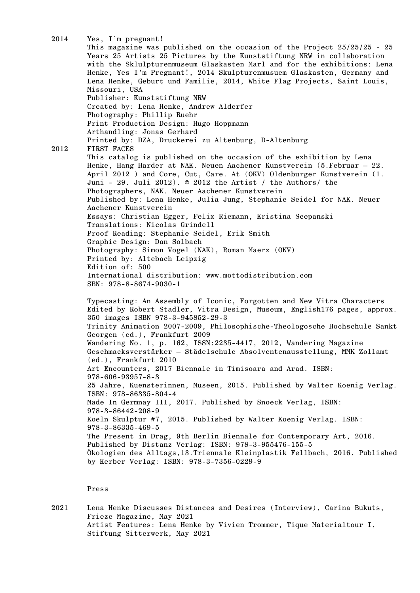2014 Yes, I'm pregnant! This magazine was published on the occasion of the Project  $25/25/25$  - 25 Years 25 Artists 25 Pictures by the Kunststiftung NRW in collaboration with the Sklulpturenmuseum Glaskasten Marl and for the exhibitions: Lena Henke, Yes I'm Pregnant!, 2014 Skulpturenmusuem Glaskasten, Germany and Lena Henke, Geburt und Familie, 2014, White Flag Projects, Saint Louis, Missouri, USA Publisher: Kunststiftung NRW Created by: Lena Henke, Andrew Alderfer Photography: Phillip Ruehr Print Production Design: Hugo Hoppmann Arthandling: Jonas Gerhard Printed by: DZA, Druckerei zu Altenburg, D-Altenburg 2012 FIRST FACES This catalog is published on the occasion of the exhibition by Lena Henke, Hang Harder at NAK. Neuen Aachener Kunstverein (5.Februar — 22. April 2012 ) and Core, Cut, Care. At (OKV) Oldenburger Kunstverein (1. Juni - 29. Juli 2012). © 2012 the Artist / the Authors/ the Photographers, NAK. Neuer Aachener Kunstverein Published by: Lena Henke, Julia Jung, Stephanie Seidel for NAK. Neuer Aachener Kunstverein Essays: Christian Egger, Felix Riemann, Kristina Scepanski Translations: Nicolas Grindell Proof Reading: Stephanie Seidel, Erik Smith Graphic Design: Dan Solbach Photography: Simon Vogel (NAK), Roman Maerz (OKV) Printed by: Altebach Leipzig Edition of: 500 International distribution: www.mottodistribution.com SBN: 978-8-8674-9030-1 Typecasting: An Assembly of Iconic, Forgotten and New Vitra Characters Edited by Robert Stadler, Vitra Design, Museum, English176 pages, approx. 350 images ISBN 978-3-945852-29-3 Trinity Animation 2007-2009, Philosophische-Theologosche Hochschule Sankt Georgen (ed.), Frankfurt 2009 Wandering No. 1, p. 162, ISSN:2235-4417, 2012, Wandering Magazine Geschmacksverstärker – Städelschule Absolventenausstellung, MMK Zollamt (ed.), Frankfurt 2010 Art Encounters, 2017 Biennale in Timisoara and Arad. ISBN: 978-606-93957-8-3 25 Jahre, Kuensterinnen, Museen, 2015. Published by Walter Koenig Verlag. ISBN: 978-86335-804-4 Made In Germnay III, 2017. Published by Snoeck Verlag, ISBN: 978-3-86442-208-9 Koeln Skulptur #7, 2015. Published by Walter Koenig Verlag. ISBN: 978-3-86335-469-5 The Present in Drag, 9th Berlin Biennale for Contemporary Art, 2016. Published by Distanz Verlag: ISBN: 978-3-955476-155-5 Ökologien des Alltags,13.Triennale Kleinplastik Fellbach, 2016. Published by Kerber Verlag: ISBN: 978-3-7356-0229-9

## Press

2021 Lena Henke Discusses Distances and Desires (Interview), Carina Bukuts, Frieze Magazine, May 2021 Artist Features: Lena Henke by Vivien Trommer, Tique Materialtour I, Stiftung Sitterwerk, May 2021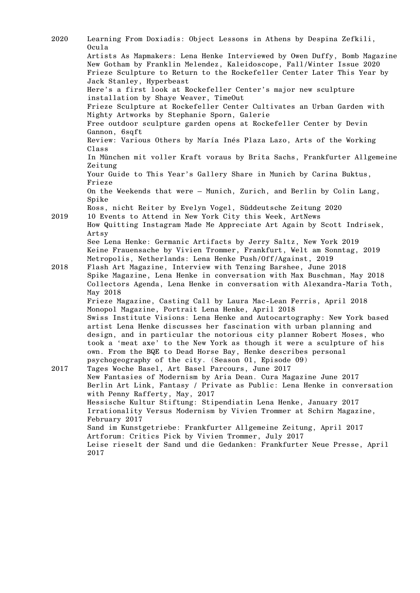| 2020 | Learning From Doxiadis: Object Lessons in Athens by Despina Zefkili,<br>Ocula                                                                                                                                                                                                                      |
|------|----------------------------------------------------------------------------------------------------------------------------------------------------------------------------------------------------------------------------------------------------------------------------------------------------|
|      | Artists As Mapmakers: Lena Henke Interviewed by Owen Duffy, Bomb Magazine<br>New Gotham by Franklin Melendez, Kaleidoscope, Fall/Winter Issue 2020                                                                                                                                                 |
|      | Frieze Sculpture to Return to the Rockefeller Center Later This Year by<br>Jack Stanley, Hyperbeast                                                                                                                                                                                                |
|      | Here's a first look at Rockefeller Center's major new sculpture<br>installation by Shaye Weaver, TimeOut                                                                                                                                                                                           |
|      | Frieze Sculpture at Rockefeller Center Cultivates an Urban Garden with<br>Mighty Artworks by Stephanie Sporn, Galerie                                                                                                                                                                              |
|      | Free outdoor sculpture garden opens at Rockefeller Center by Devin<br>Gannon, 6sqft                                                                                                                                                                                                                |
|      | Review: Various Others by María Inés Plaza Lazo, Arts of the Working<br>Class                                                                                                                                                                                                                      |
|      | In München mit voller Kraft voraus by Brita Sachs, Frankfurter Allgemeine<br>Zeitung                                                                                                                                                                                                               |
|      | Your Guide to This Year's Gallery Share in Munich by Carina Buktus,<br>Frieze                                                                                                                                                                                                                      |
|      | On the Weekends that were - Munich, Zurich, and Berlin by Colin Lang,<br>Spike                                                                                                                                                                                                                     |
|      | Ross, nicht Reiter by Evelyn Vogel, Süddeutsche Zeitung 2020                                                                                                                                                                                                                                       |
| 2019 | 10 Events to Attend in New York City this Week, ArtNews<br>How Quitting Instagram Made Me Appreciate Art Again by Scott Indrisek,<br>Artsy                                                                                                                                                         |
|      | See Lena Henke: Germanic Artifacts by Jerry Saltz, New York 2019                                                                                                                                                                                                                                   |
|      | Keine Frauensache by Vivien Trommer, Frankfurt, Welt am Sonntag, 2019<br>Metropolis, Netherlands: Lena Henke Push/Off/Against, 2019                                                                                                                                                                |
| 2018 | Flash Art Magazine, Interview with Tenzing Barshee, June 2018                                                                                                                                                                                                                                      |
|      | Spike Magazine, Lena Henke in conversation with Max Buschman, May 2018                                                                                                                                                                                                                             |
|      | Collectors Agenda, Lena Henke in conversation with Alexandra-Maria Toth,<br>May 2018                                                                                                                                                                                                               |
|      | Frieze Magazine, Casting Call by Laura Mac-Lean Ferris, April 2018<br>Monopol Magazine, Portrait Lena Henke, April 2018                                                                                                                                                                            |
|      | Swiss Institute Visions: Lena Henke and Autocartography: New York based<br>artist Lena Henke discusses her fascination with urban planning and<br>design, and in particular the notorious city planner Robert Moses, who<br>took a 'meat axe' to the New York as though it were a sculpture of his |
|      | own. From the BQE to Dead Horse Bay, Henke describes personal<br>psychogeography of the city. (Season 01, Episode 09)                                                                                                                                                                              |
| 2017 | Tages Woche Basel, Art Basel Parcours, June 2017                                                                                                                                                                                                                                                   |
|      | New Fantasies of Modernism by Aria Dean. Cura Magazine June 2017<br>Berlin Art Link, Fantasy / Private as Public: Lena Henke in conversation                                                                                                                                                       |
|      | with Penny Rafferty, May, 2017                                                                                                                                                                                                                                                                     |
|      | Hessische Kultur Stiftung: Stipendiatin Lena Henke, January 2017<br>Irrationality Versus Modernism by Vivien Trommer at Schirn Magazine,<br>February 2017                                                                                                                                          |
|      | Sand im Kunstgetriebe: Frankfurter Allgemeine Zeitung, April 2017                                                                                                                                                                                                                                  |
|      | Artforum: Critics Pick by Vivien Trommer, July 2017<br>Leise rieselt der Sand und die Gedanken: Frankfurter Neue Presse, April<br>2017                                                                                                                                                             |